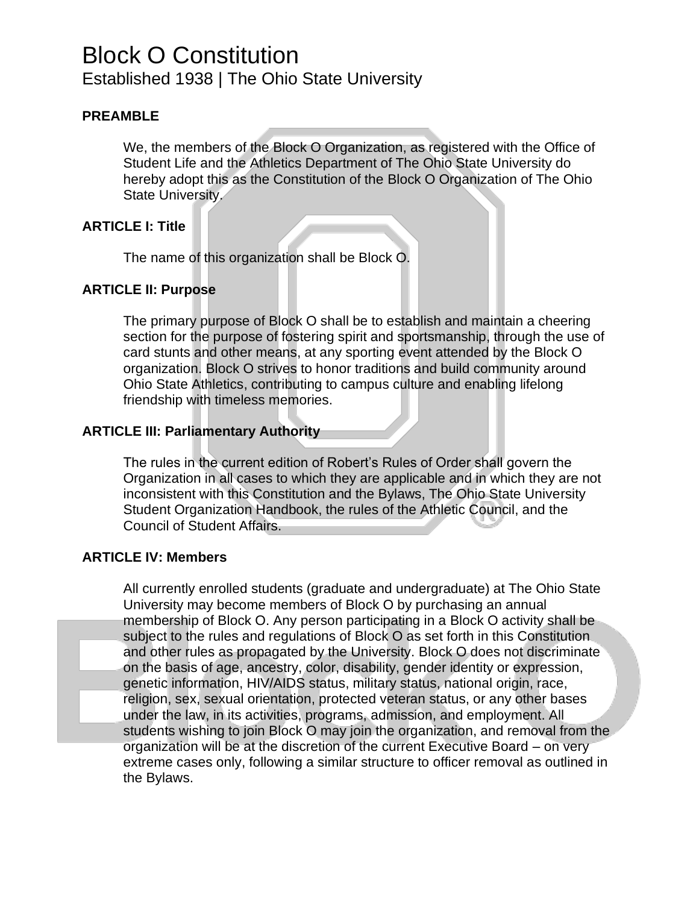# Block O Constitution

Established 1938 | The Ohio State University

# **PREAMBLE**

We, the members of the Block O Organization, as registered with the Office of Student Life and the Athletics Department of The Ohio State University do hereby adopt this as the Constitution of the Block O Organization of The Ohio State University.

# **ARTICLE I: Title**

The name of this organization shall be Block O.

# **ARTICLE II: Purpose**

The primary purpose of Block O shall be to establish and maintain a cheering section for the purpose of fostering spirit and sportsmanship, through the use of card stunts and other means, at any sporting event attended by the Block O organization. Block O strives to honor traditions and build community around Ohio State Athletics, contributing to campus culture and enabling lifelong friendship with timeless memories.

# **ARTICLE III: Parliamentary Authority**

The rules in the current edition of Robert's Rules of Order shall govern the Organization in all cases to which they are applicable and in which they are not inconsistent with this Constitution and the Bylaws, The Ohio State University Student Organization Handbook, the rules of the Athletic Council, and the Council of Student Affairs.

# **ARTICLE IV: Members**

All currently enrolled students (graduate and undergraduate) at The Ohio State University may become members of Block O by purchasing an annual membership of Block O. Any person participating in a Block O activity shall be subject to the rules and regulations of Block O as set forth in this Constitution and other rules as propagated by the University. Block O does not discriminate on the basis of age, ancestry, color, disability, gender identity or expression, genetic information, HIV/AIDS status, military status, national origin, race, religion, sex, sexual orientation, protected veteran status, or any other bases under the law, in its activities, programs, admission, and employment. All students wishing to join Block O may join the organization, and removal from the organization will be at the discretion of the current Executive Board – on very extreme cases only, following a similar structure to officer removal as outlined in the Bylaws.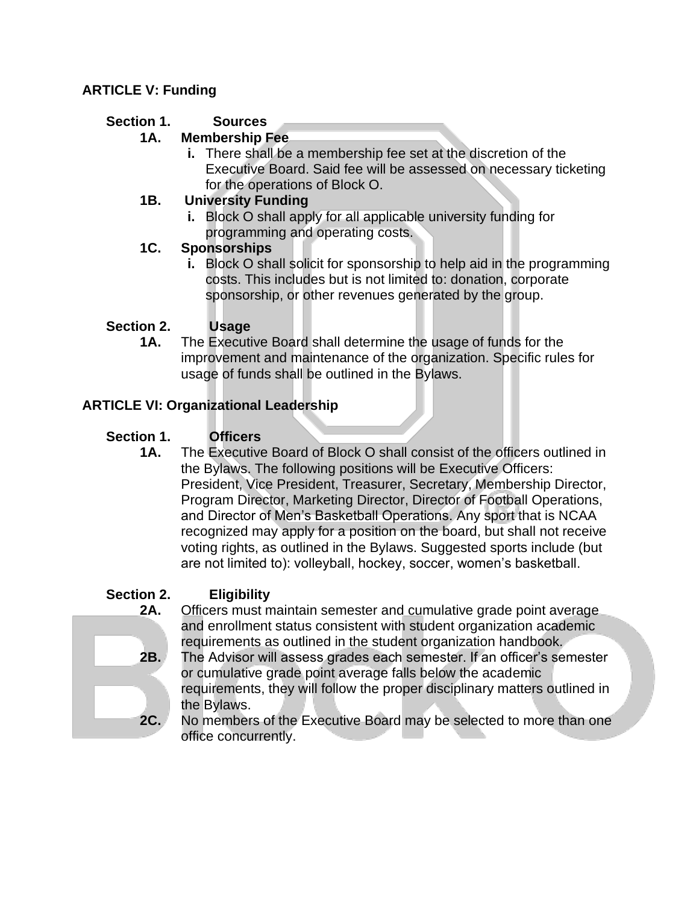# **ARTICLE V: Funding**

# **Section 1. Sources**

# **1A. Membership Fee**

**i.** There shall be a membership fee set at the discretion of the Executive Board. Said fee will be assessed on necessary ticketing for the operations of Block O.

# **1B. University Funding**

**i.** Block O shall apply for all applicable university funding for programming and operating costs.

# **1C. Sponsorships**

**i.** Block O shall solicit for sponsorship to help aid in the programming costs. This includes but is not limited to: donation, corporate sponsorship, or other revenues generated by the group.

# **Section 2. Usage**

**1A.** The Executive Board shall determine the usage of funds for the improvement and maintenance of the organization. Specific rules for usage of funds shall be outlined in the Bylaws.

# **ARTICLE VI: Organizational Leadership**

# **Section 1. Officers**

**1A.** The Executive Board of Block O shall consist of the officers outlined in the Bylaws. The following positions will be Executive Officers: President, Vice President, Treasurer, Secretary, Membership Director, Program Director, Marketing Director, Director of Football Operations, and Director of Men's Basketball Operations. Any sport that is NCAA recognized may apply for a position on the board, but shall not receive voting rights, as outlined in the Bylaws. Suggested sports include (but are not limited to): volleyball, hockey, soccer, women's basketball.

# **Section 2. Eligibility**

- **2A.** Officers must maintain semester and cumulative grade point average and enrollment status consistent with student organization academic requirements as outlined in the student organization handbook.
- **2B.** The Advisor will assess grades each semester. If an officer's semester or cumulative grade point average falls below the academic requirements, they will follow the proper disciplinary matters outlined in the Bylaws.
- **2C.** No members of the Executive Board may be selected to more than one office concurrently.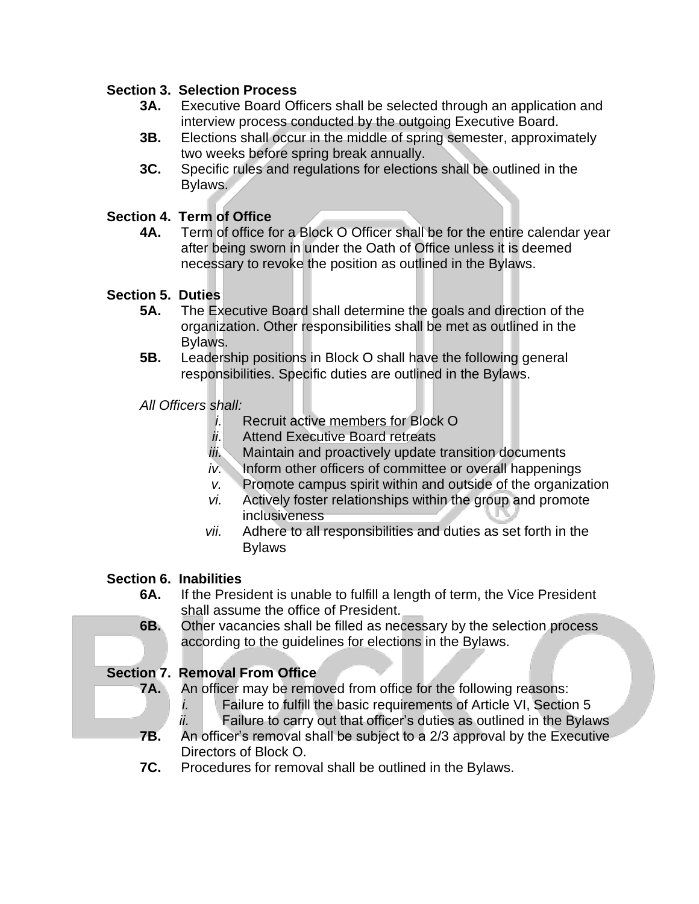# **Section 3. Selection Process**

- **3A.** Executive Board Officers shall be selected through an application and interview process conducted by the outgoing Executive Board.
- **3B.** Elections shall occur in the middle of spring semester, approximately two weeks before spring break annually.
- **3C.** Specific rules and regulations for elections shall be outlined in the Bylaws.

# **Section 4. Term of Office**

**4A.** Term of office for a Block O Officer shall be for the entire calendar year after being sworn in under the Oath of Office unless it is deemed necessary to revoke the position as outlined in the Bylaws.

# **Section 5. Duties**

- **5A.** The Executive Board shall determine the goals and direction of the organization. Other responsibilities shall be met as outlined in the Bylaws.
- **5B.** Leadership positions in Block O shall have the following general responsibilities. Specific duties are outlined in the Bylaws.

# *All Officers shall:*

- *i.* Recruit active members for Block O
- *ii.* Attend Executive Board retreats
- *iii.* Maintain and proactively update transition documents
- *iv.* Inform other officers of committee or overall happenings
- *v.* Promote campus spirit within and outside of the organization
- *vi.* Actively foster relationships within the group and promote inclusiveness
- *vii.* Adhere to all responsibilities and duties as set forth in the Bylaws

# **Section 6. Inabilities**

- **6A.** If the President is unable to fulfill a length of term, the Vice President shall assume the office of President.
- **6B.** Other vacancies shall be filled as necessary by the selection process according to the guidelines for elections in the Bylaws.

# **Section 7. Removal From Office**

**7A.** An officer may be removed from office for the following reasons:

- *i.* Failure to fulfill the basic requirements of Article VI, Section 5
- *ii.* Failure to carry out that officer's duties as outlined in the Bylaws **7B.** An officer's removal shall be subject to a 2/3 approval by the Executive Directors of Block O.
- **7C.** Procedures for removal shall be outlined in the Bylaws.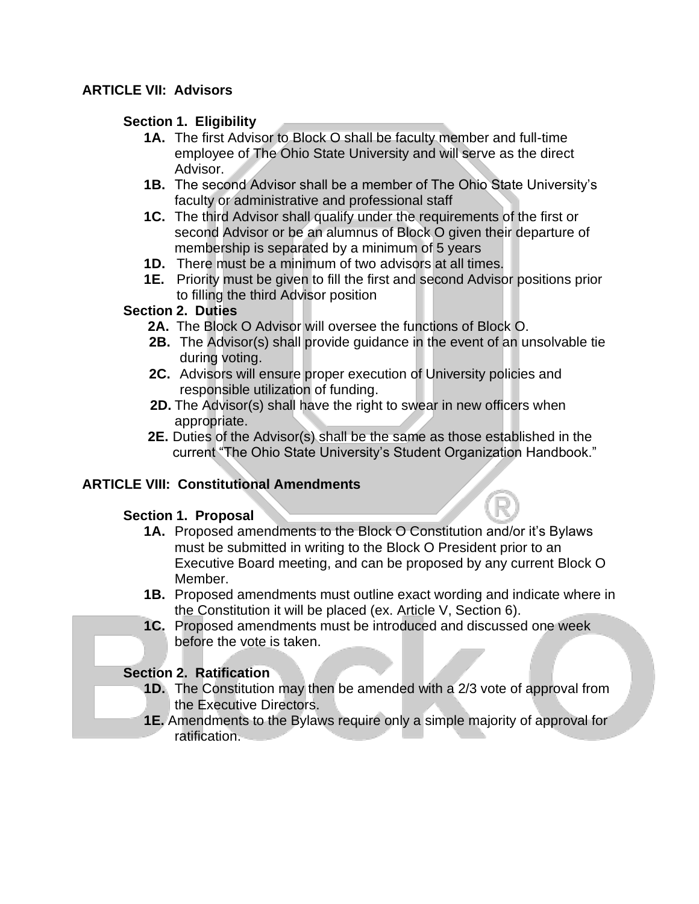# **ARTICLE VII: Advisors**

#### **Section 1. Eligibility**

- **1A.** The first Advisor to Block O shall be faculty member and full-time employee of The Ohio State University and will serve as the direct Advisor.
- **1B.** The second Advisor shall be a member of The Ohio State University's faculty or administrative and professional staff
- **1C.** The third Advisor shall qualify under the requirements of the first or second Advisor or be an alumnus of Block O given their departure of membership is separated by a minimum of 5 years
- **1D.** There must be a minimum of two advisors at all times.
- **1E.** Priority must be given to fill the first and second Advisor positions prior to filling the third Advisor position

#### **Section 2. Duties**

- **2A.** The Block O Advisor will oversee the functions of Block O.
- **2B.** The Advisor(s) shall provide guidance in the event of an unsolvable tie during voting.
- **2C.** Advisors will ensure proper execution of University policies and responsible utilization of funding.
- **2D.** The Advisor(s) shall have the right to swear in new officers when appropriate.
- **2E.** Duties of the Advisor(s) shall be the same as those established in the current "The Ohio State University's Student Organization Handbook."

# **ARTICLE VIII: Constitutional Amendments**

# **Section 1. Proposal**

- **1A.** Proposed amendments to the Block O Constitution and/or it's Bylaws must be submitted in writing to the Block O President prior to an Executive Board meeting, and can be proposed by any current Block O Member.
- **1B.** Proposed amendments must outline exact wording and indicate where in the Constitution it will be placed (ex. Article V, Section 6).
- **1C.** Proposed amendments must be introduced and discussed one week before the vote is taken.

# **Section 2. Ratification**

- **1D.** The Constitution may then be amended with a 2/3 vote of approval from the Executive Directors.
- **1E.** Amendments to the Bylaws require only a simple majority of approval for ratification.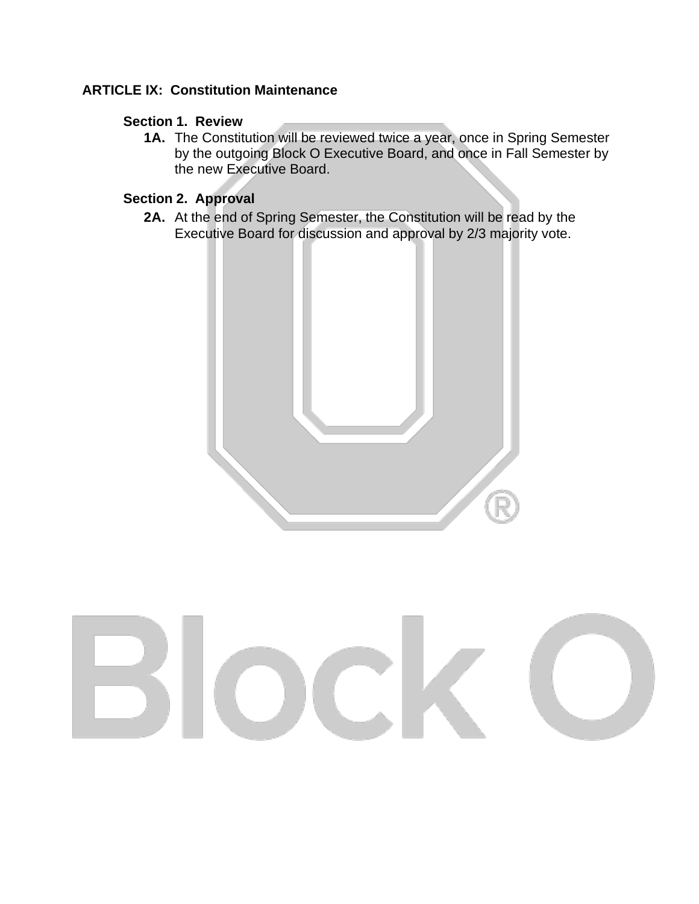# **ARTICLE IX: Constitution Maintenance**

#### **Section 1. Review**

**1A.** The Constitution will be reviewed twice a year, once in Spring Semester by the outgoing Block O Executive Board, and once in Fall Semester by the new Executive Board.

#### **Section 2. Approval**

**2A.** At the end of Spring Semester, the Constitution will be read by the Executive Board for discussion and approval by 2/3 majority vote.



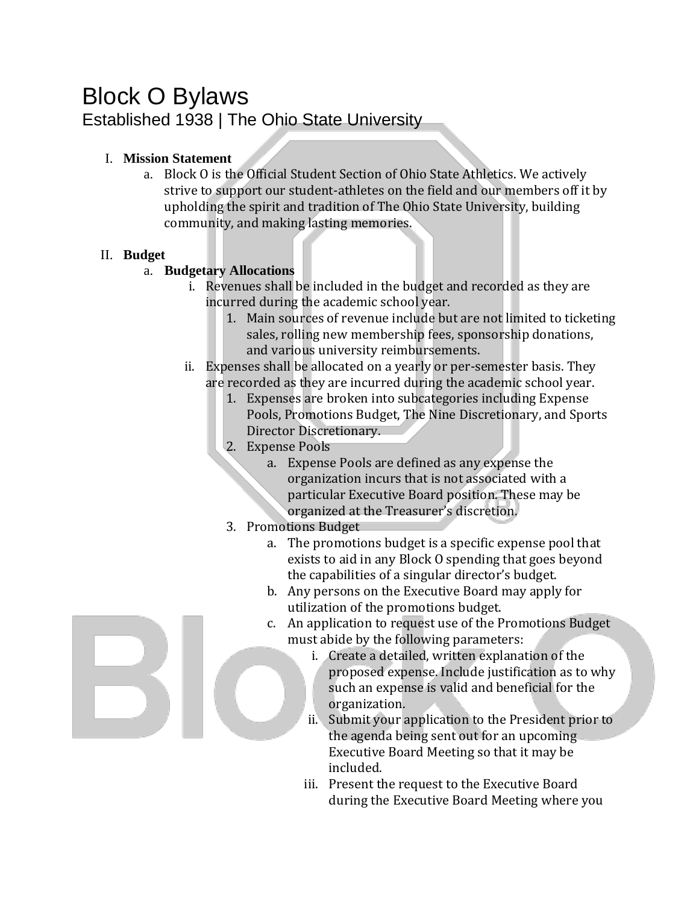# Block O Bylaws Established 1938 | The Ohio State University

#### I. **Mission Statement**

a. Block O is the Official Student Section of Ohio State Athletics. We actively strive to support our student-athletes on the field and our members off it by upholding the spirit and tradition of The Ohio State University, building community, and making lasting memories.

#### II. **Budget**

# a. **Budgetary Allocations**

- i. Revenues shall be included in the budget and recorded as they are incurred during the academic school year.
	- 1. Main sources of revenue include but are not limited to ticketing sales, rolling new membership fees, sponsorship donations, and various university reimbursements.
- ii. Expenses shall be allocated on a yearly or per-semester basis. They are recorded as they are incurred during the academic school year.
	- 1. Expenses are broken into subcategories including Expense Pools, Promotions Budget, The Nine Discretionary, and Sports Director Discretionary.
	- 2. Expense Pools
		- a. Expense Pools are defined as any expense the organization incurs that is not associated with a particular Executive Board position. These may be organized at the Treasurer's discretion.
	- 3. Promotions Budget
		- a. The promotions budget is a specific expense pool that exists to aid in any Block O spending that goes beyond the capabilities of a singular director's budget.
		- b. Any persons on the Executive Board may apply for utilization of the promotions budget.
		- c. An application to request use of the Promotions Budget must abide by the following parameters:
			- i. Create a detailed, written explanation of the proposed expense. Include justification as to why such an expense is valid and beneficial for the organization.
			- ii. Submit your application to the President prior to the agenda being sent out for an upcoming Executive Board Meeting so that it may be included.
			- iii. Present the request to the Executive Board during the Executive Board Meeting where you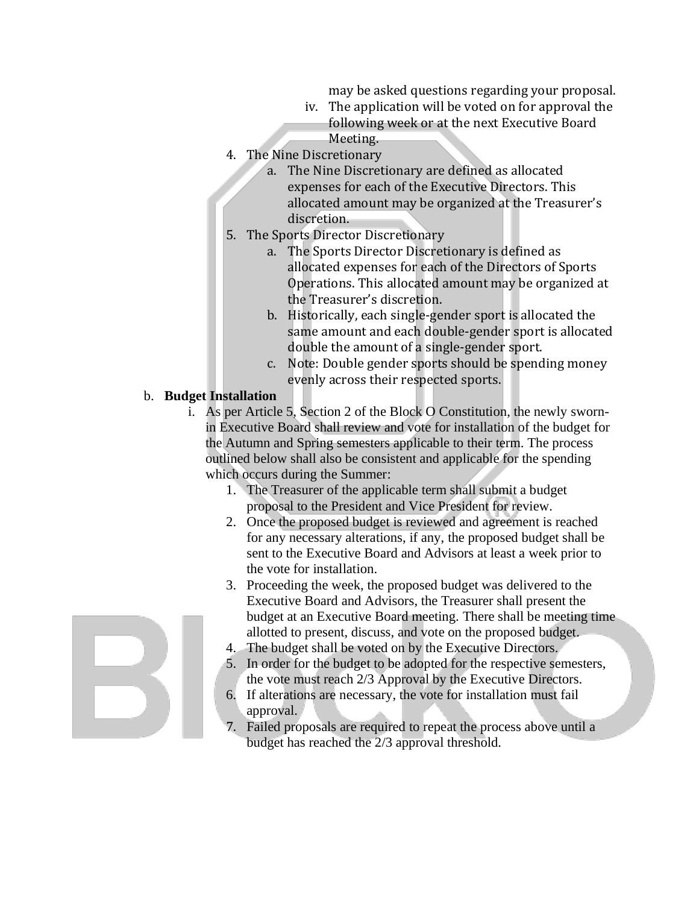may be asked questions regarding your proposal.

- iv. The application will be voted on for approval the following week or at the next Executive Board Meeting.
- 4. The Nine Discretionary
	- a. The Nine Discretionary are defined as allocated expenses for each of the Executive Directors. This allocated amount may be organized at the Treasurer's discretion.
- 5. The Sports Director Discretionary
	- a. The Sports Director Discretionary is defined as allocated expenses for each of the Directors of Sports Operations. This allocated amount may be organized at the Treasurer's discretion.
	- b. Historically, each single-gender sport is allocated the same amount and each double-gender sport is allocated double the amount of a single-gender sport.
	- c. Note: Double gender sports should be spending money evenly across their respected sports.

#### b. **Budget Installation**

- i. As per Article 5, Section 2 of the Block O Constitution, the newly swornin Executive Board shall review and vote for installation of the budget for the Autumn and Spring semesters applicable to their term. The process outlined below shall also be consistent and applicable for the spending which occurs during the Summer:
	- 1. The Treasurer of the applicable term shall submit a budget proposal to the President and Vice President for review.
	- 2. Once the proposed budget is reviewed and agreement is reached for any necessary alterations, if any, the proposed budget shall be sent to the Executive Board and Advisors at least a week prior to the vote for installation.
	- 3. Proceeding the week, the proposed budget was delivered to the Executive Board and Advisors, the Treasurer shall present the budget at an Executive Board meeting. There shall be meeting time allotted to present, discuss, and vote on the proposed budget.
	- 4. The budget shall be voted on by the Executive Directors.
	- 5. In order for the budget to be adopted for the respective semesters, the vote must reach 2/3 Approval by the Executive Directors.
	- 6. If alterations are necessary, the vote for installation must fail approval.
	- 7. Failed proposals are required to repeat the process above until a budget has reached the 2/3 approval threshold.

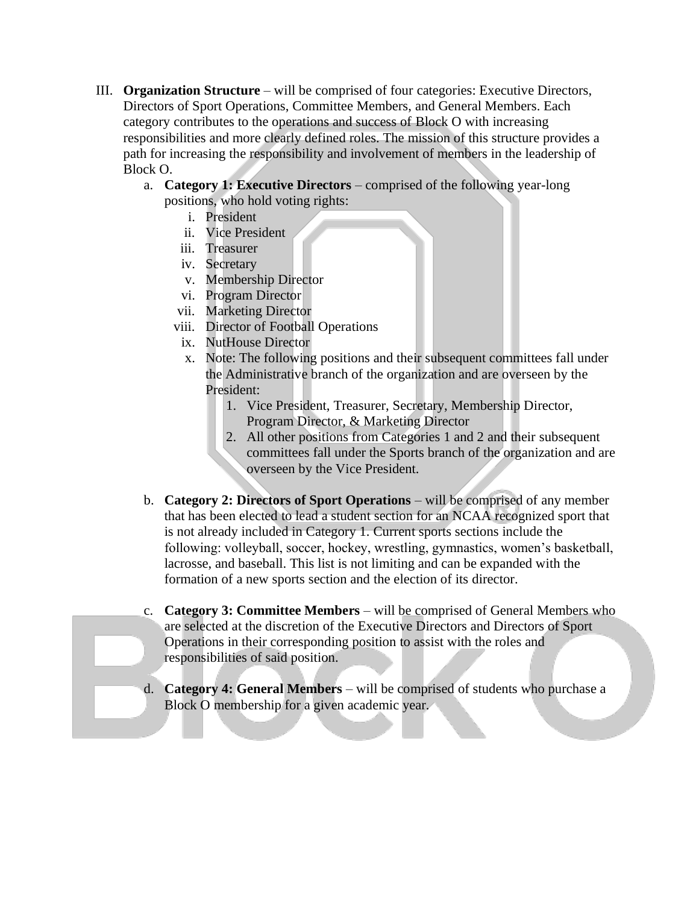- III. **Organization Structure** will be comprised of four categories: Executive Directors, Directors of Sport Operations, Committee Members, and General Members. Each category contributes to the operations and success of Block O with increasing responsibilities and more clearly defined roles. The mission of this structure provides a path for increasing the responsibility and involvement of members in the leadership of Block O.
	- a. **Category 1: Executive Directors** comprised of the following year-long positions, who hold voting rights:
		- i. President
		- ii. Vice President
		- iii. Treasurer
		- iv. Secretary
		- v. Membership Director
		- vi. Program Director
		- vii. Marketing Director
		- viii. Director of Football Operations
		- ix. NutHouse Director
		- x. Note: The following positions and their subsequent committees fall under the Administrative branch of the organization and are overseen by the President:
			- 1. Vice President, Treasurer, Secretary, Membership Director, Program Director, & Marketing Director
			- 2. All other positions from Categories 1 and 2 and their subsequent committees fall under the Sports branch of the organization and are overseen by the Vice President.
	- b. **Category 2: Directors of Sport Operations** will be comprised of any member that has been elected to lead a student section for an NCAA recognized sport that is not already included in Category 1. Current sports sections include the following: volleyball, soccer, hockey, wrestling, gymnastics, women's basketball, lacrosse, and baseball. This list is not limiting and can be expanded with the formation of a new sports section and the election of its director.
	- c. **Category 3: Committee Members** will be comprised of General Members who are selected at the discretion of the Executive Directors and Directors of Sport Operations in their corresponding position to assist with the roles and responsibilities of said position.
	- d. **Category 4: General Members**  will be comprised of students who purchase a Block O membership for a given academic year.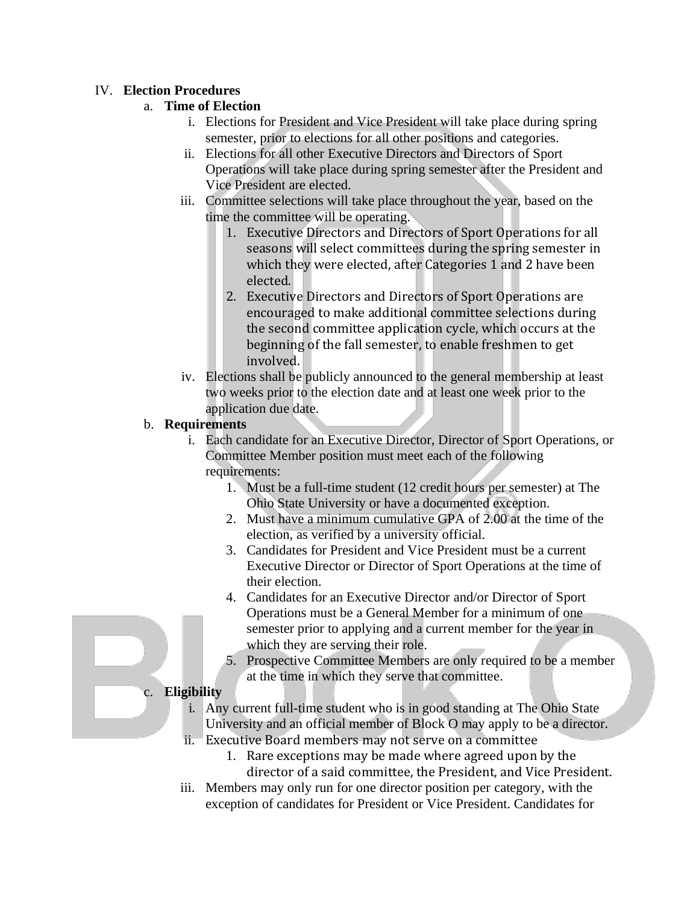#### IV. **Election Procedures**

#### a. **Time of Election**

- i. Elections for President and Vice President will take place during spring semester, prior to elections for all other positions and categories.
- ii. Elections for all other Executive Directors and Directors of Sport Operations will take place during spring semester after the President and Vice President are elected.
- iii. Committee selections will take place throughout the year, based on the time the committee will be operating.
	- 1. Executive Directors and Directors of Sport Operations for all seasons will select committees during the spring semester in which they were elected, after Categories 1 and 2 have been elected.
	- 2. Executive Directors and Directors of Sport Operations are encouraged to make additional committee selections during the second committee application cycle, which occurs at the beginning of the fall semester, to enable freshmen to get involved.
- iv. Elections shall be publicly announced to the general membership at least two weeks prior to the election date and at least one week prior to the application due date.

#### b. **Requirements**

- i. Each candidate for an Executive Director, Director of Sport Operations, or Committee Member position must meet each of the following requirements:
	- 1. Must be a full-time student (12 credit hours per semester) at The Ohio State University or have a documented exception.
	- 2. Must have a minimum cumulative GPA of 2.00 at the time of the election, as verified by a university official.
	- 3. Candidates for President and Vice President must be a current Executive Director or Director of Sport Operations at the time of their election.
	- 4. Candidates for an Executive Director and/or Director of Sport Operations must be a General Member for a minimum of one semester prior to applying and a current member for the year in which they are serving their role.
	- 5. Prospective Committee Members are only required to be a member at the time in which they serve that committee.

#### c. **Eligibility**

i. Any current full-time student who is in good standing at The Ohio State University and an official member of Block O may apply to be a director.

- ii. Executive Board members may not serve on a committee
	- 1. Rare exceptions may be made where agreed upon by the director of a said committee, the President, and Vice President.
- iii. Members may only run for one director position per category, with the exception of candidates for President or Vice President. Candidates for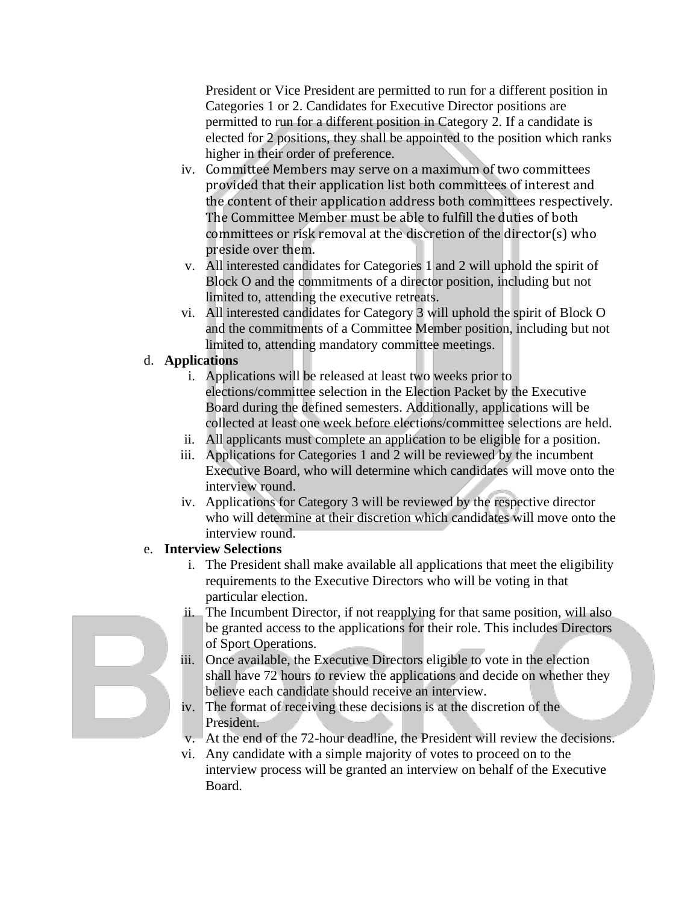President or Vice President are permitted to run for a different position in Categories 1 or 2. Candidates for Executive Director positions are permitted to run for a different position in Category 2. If a candidate is elected for 2 positions, they shall be appointed to the position which ranks higher in their order of preference.

- iv. Committee Members may serve on a maximum of two committees provided that their application list both committees of interest and the content of their application address both committees respectively. The Committee Member must be able to fulfill the duties of both committees or risk removal at the discretion of the director(s) who preside over them.
- v. All interested candidates for Categories 1 and 2 will uphold the spirit of Block O and the commitments of a director position, including but not limited to, attending the executive retreats.
- vi. All interested candidates for Category 3 will uphold the spirit of Block O and the commitments of a Committee Member position, including but not limited to, attending mandatory committee meetings.

# d. **Applications**

- i. Applications will be released at least two weeks prior to elections/committee selection in the Election Packet by the Executive Board during the defined semesters. Additionally, applications will be collected at least one week before elections/committee selections are held.
- ii. All applicants must complete an application to be eligible for a position.
- iii. Applications for Categories 1 and 2 will be reviewed by the incumbent Executive Board, who will determine which candidates will move onto the interview round.
- iv. Applications for Category 3 will be reviewed by the respective director who will determine at their discretion which candidates will move onto the interview round.

# e. **Interview Selections**

- i. The President shall make available all applications that meet the eligibility requirements to the Executive Directors who will be voting in that particular election.
- ii. The Incumbent Director, if not reapplying for that same position, will also be granted access to the applications for their role. This includes Directors of Sport Operations.
- iii. Once available, the Executive Directors eligible to vote in the election shall have 72 hours to review the applications and decide on whether they believe each candidate should receive an interview.
- iv. The format of receiving these decisions is at the discretion of the President.
- v. At the end of the 72-hour deadline, the President will review the decisions.
- vi. Any candidate with a simple majority of votes to proceed on to the interview process will be granted an interview on behalf of the Executive Board.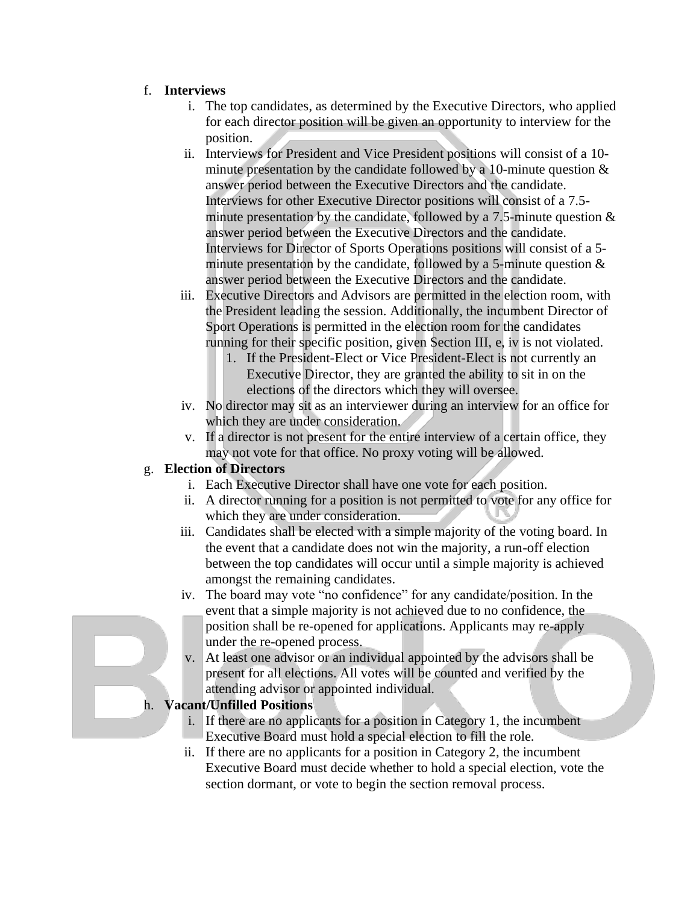#### f. **Interviews**

- i. The top candidates, as determined by the Executive Directors, who applied for each director position will be given an opportunity to interview for the position.
- ii. Interviews for President and Vice President positions will consist of a 10 minute presentation by the candidate followed by a 10-minute question  $\&$ answer period between the Executive Directors and the candidate. Interviews for other Executive Director positions will consist of a 7.5 minute presentation by the candidate, followed by a 7.5-minute question  $\&$ answer period between the Executive Directors and the candidate. Interviews for Director of Sports Operations positions will consist of a 5 minute presentation by the candidate, followed by a 5-minute question  $\&$ answer period between the Executive Directors and the candidate.
- iii. Executive Directors and Advisors are permitted in the election room, with the President leading the session. Additionally, the incumbent Director of Sport Operations is permitted in the election room for the candidates running for their specific position, given Section III, e, iv is not violated.
	- 1. If the President-Elect or Vice President-Elect is not currently an Executive Director, they are granted the ability to sit in on the elections of the directors which they will oversee.
- iv. No director may sit as an interviewer during an interview for an office for which they are under consideration.
- v. If a director is not present for the entire interview of a certain office, they may not vote for that office. No proxy voting will be allowed.

# g. **Election of Directors**

- i. Each Executive Director shall have one vote for each position.
- ii. A director running for a position is not permitted to vote for any office for which they are under consideration.
- iii. Candidates shall be elected with a simple majority of the voting board. In the event that a candidate does not win the majority, a run-off election between the top candidates will occur until a simple majority is achieved amongst the remaining candidates.
- iv. The board may vote "no confidence" for any candidate/position. In the event that a simple majority is not achieved due to no confidence, the position shall be re-opened for applications. Applicants may re-apply under the re-opened process.
- v. At least one advisor or an individual appointed by the advisors shall be present for all elections. All votes will be counted and verified by the attending advisor or appointed individual.

# h. **Vacant/Unfilled Positions**

- i. If there are no applicants for a position in Category 1, the incumbent Executive Board must hold a special election to fill the role.
- ii. If there are no applicants for a position in Category 2, the incumbent Executive Board must decide whether to hold a special election, vote the section dormant, or vote to begin the section removal process.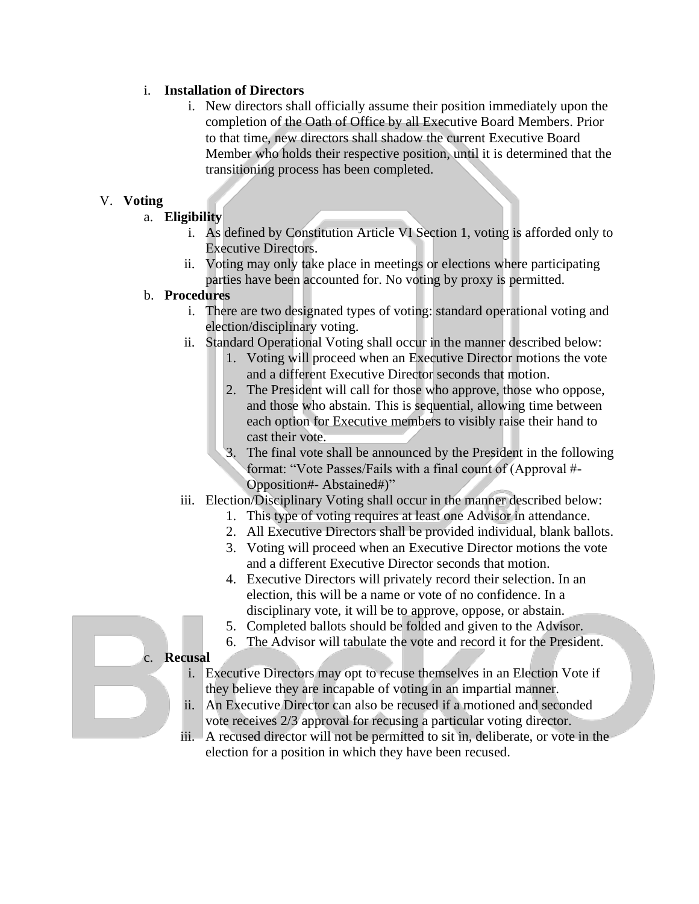#### i. **Installation of Directors**

i. New directors shall officially assume their position immediately upon the completion of the Oath of Office by all Executive Board Members. Prior to that time, new directors shall shadow the current Executive Board Member who holds their respective position, until it is determined that the transitioning process has been completed.

#### V. **Voting**

#### a. **Eligibility**

- i. As defined by Constitution Article VI Section 1, voting is afforded only to Executive Directors.
- ii. Voting may only take place in meetings or elections where participating parties have been accounted for. No voting by proxy is permitted.

#### b. **Procedures**

- i. There are two designated types of voting: standard operational voting and election/disciplinary voting.
- ii. Standard Operational Voting shall occur in the manner described below:
	- 1. Voting will proceed when an Executive Director motions the vote and a different Executive Director seconds that motion.
	- 2. The President will call for those who approve, those who oppose, and those who abstain. This is sequential, allowing time between each option for Executive members to visibly raise their hand to cast their vote.
	- 3. The final vote shall be announced by the President in the following format: "Vote Passes/Fails with a final count of (Approval #- Opposition#- Abstained#)"
- iii. Election/Disciplinary Voting shall occur in the manner described below:
	- 1. This type of voting requires at least one Advisor in attendance.
	- 2. All Executive Directors shall be provided individual, blank ballots.
	- 3. Voting will proceed when an Executive Director motions the vote and a different Executive Director seconds that motion.
	- 4. Executive Directors will privately record their selection. In an election, this will be a name or vote of no confidence. In a disciplinary vote, it will be to approve, oppose, or abstain.
	- 5. Completed ballots should be folded and given to the Advisor.
	- 6. The Advisor will tabulate the vote and record it for the President.

#### c. **Recusal**

- i. Executive Directors may opt to recuse themselves in an Election Vote if they believe they are incapable of voting in an impartial manner.
- ii. An Executive Director can also be recused if a motioned and seconded vote receives 2/3 approval for recusing a particular voting director.
- iii. A recused director will not be permitted to sit in, deliberate, or vote in the election for a position in which they have been recused.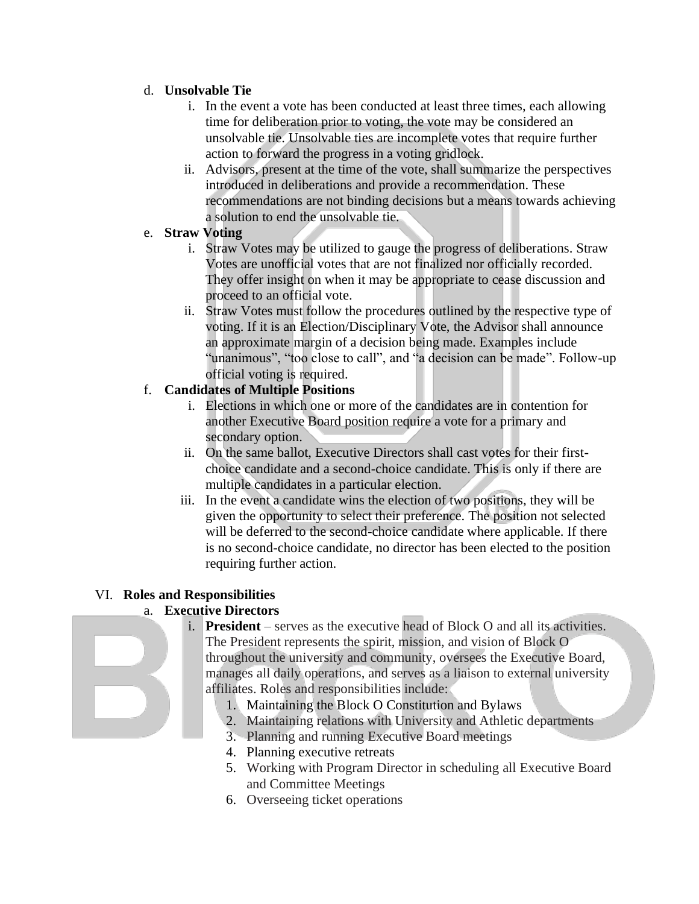#### d. **Unsolvable Tie**

- i. In the event a vote has been conducted at least three times, each allowing time for deliberation prior to voting, the vote may be considered an unsolvable tie. Unsolvable ties are incomplete votes that require further action to forward the progress in a voting gridlock.
- ii. Advisors, present at the time of the vote, shall summarize the perspectives introduced in deliberations and provide a recommendation. These recommendations are not binding decisions but a means towards achieving a solution to end the unsolvable tie.

#### e. **Straw Voting**

- i. Straw Votes may be utilized to gauge the progress of deliberations. Straw Votes are unofficial votes that are not finalized nor officially recorded. They offer insight on when it may be appropriate to cease discussion and proceed to an official vote.
- ii. Straw Votes must follow the procedures outlined by the respective type of voting. If it is an Election/Disciplinary Vote, the Advisor shall announce an approximate margin of a decision being made. Examples include "unanimous", "too close to call", and "a decision can be made". Follow-up official voting is required.

# f. **Candidates of Multiple Positions**

- i. Elections in which one or more of the candidates are in contention for another Executive Board position require a vote for a primary and secondary option.
- ii. On the same ballot, Executive Directors shall cast votes for their firstchoice candidate and a second-choice candidate. This is only if there are multiple candidates in a particular election.
- iii. In the event a candidate wins the election of two positions, they will be given the opportunity to select their preference. The position not selected will be deferred to the second-choice candidate where applicable. If there is no second-choice candidate, no director has been elected to the position requiring further action.

# VI. **Roles and Responsibilities**

# a. **Executive Directors**

- i. **President** serves as the executive head of Block O and all its activities. The President represents the spirit, mission, and vision of Block O throughout the university and community, oversees the Executive Board, manages all daily operations, and serves as a liaison to external university affiliates. Roles and responsibilities include:
	- 1. Maintaining the Block O Constitution and Bylaws
	- 2. Maintaining relations with University and Athletic departments
	- 3. Planning and running Executive Board meetings
	- 4. Planning executive retreats
	- 5. Working with Program Director in scheduling all Executive Board and Committee Meetings
	- 6. Overseeing ticket operations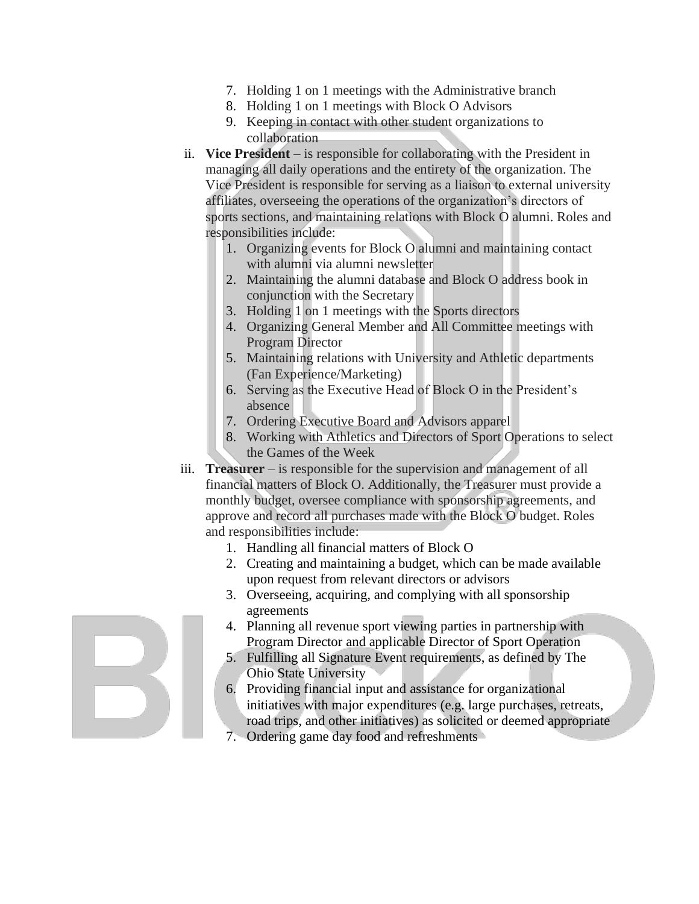- 7. Holding 1 on 1 meetings with the Administrative branch
- 8. Holding 1 on 1 meetings with Block O Advisors
- 9. Keeping in contact with other student organizations to collaboration
- ii. **Vice President** is responsible for collaborating with the President in managing all daily operations and the entirety of the organization. The Vice President is responsible for serving as a liaison to external university affiliates, overseeing the operations of the organization's directors of sports sections, and maintaining relations with Block O alumni. Roles and responsibilities include:
	- 1. Organizing events for Block O alumni and maintaining contact with alumni via alumni newsletter
	- 2. Maintaining the alumni database and Block O address book in conjunction with the Secretary
	- 3. Holding 1 on 1 meetings with the Sports directors
	- 4. Organizing General Member and All Committee meetings with Program Director
	- 5. Maintaining relations with University and Athletic departments (Fan Experience/Marketing)
	- 6. Serving as the Executive Head of Block O in the President's absence
	- 7. Ordering Executive Board and Advisors apparel
	- 8. Working with Athletics and Directors of Sport Operations to select the Games of the Week
- iii. **Treasurer** is responsible for the supervision and management of all financial matters of Block O. Additionally, the Treasurer must provide a monthly budget, oversee compliance with sponsorship agreements, and approve and record all purchases made with the Block O budget. Roles and responsibilities include:
	- 1. Handling all financial matters of Block O
	- 2. Creating and maintaining a budget, which can be made available upon request from relevant directors or advisors
	- 3. Overseeing, acquiring, and complying with all sponsorship agreements
	- 4. Planning all revenue sport viewing parties in partnership with Program Director and applicable Director of Sport Operation
	- 5. Fulfilling all Signature Event requirements, as defined by The Ohio State University
	- 6. Providing financial input and assistance for organizational initiatives with major expenditures (e.g. large purchases, retreats, road trips, and other initiatives) as solicited or deemed appropriate
	- 7. Ordering game day food and refreshments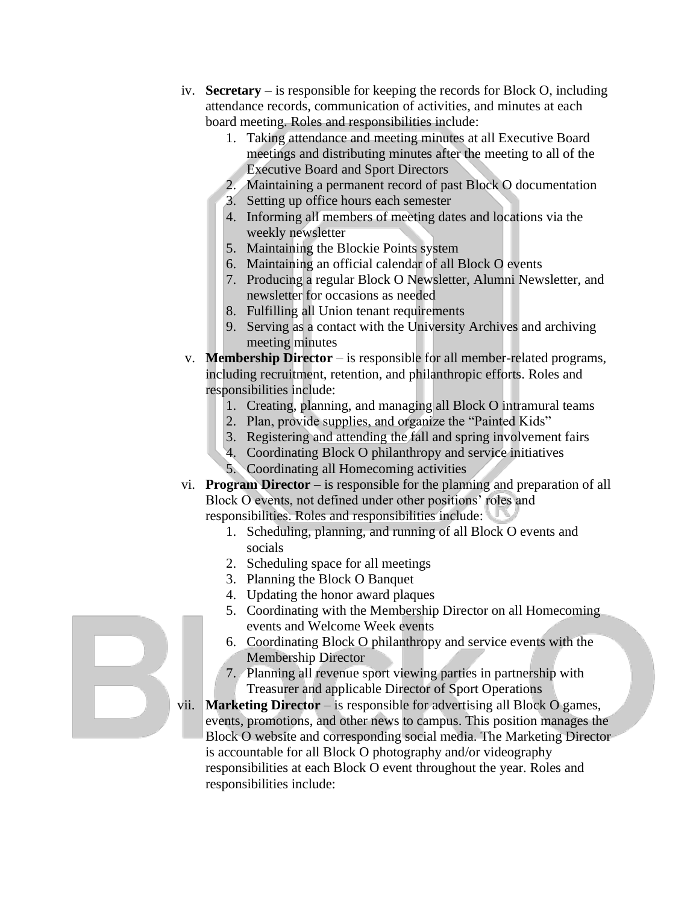- iv. **Secretary** is responsible for keeping the records for Block O, including attendance records, communication of activities, and minutes at each board meeting. Roles and responsibilities include:
	- 1. Taking attendance and meeting minutes at all Executive Board meetings and distributing minutes after the meeting to all of the Executive Board and Sport Directors
	- 2. Maintaining a permanent record of past Block O documentation
	- 3. Setting up office hours each semester
	- 4. Informing all members of meeting dates and locations via the weekly newsletter
	- 5. Maintaining the Blockie Points system
	- 6. Maintaining an official calendar of all Block O events
	- 7. Producing a regular Block O Newsletter, Alumni Newsletter, and newsletter for occasions as needed
	- 8. Fulfilling all Union tenant requirements
	- 9. Serving as a contact with the University Archives and archiving meeting minutes
- v. **Membership Director** is responsible for all member-related programs, including recruitment, retention, and philanthropic efforts. Roles and responsibilities include:
	- 1. Creating, planning, and managing all Block O intramural teams
	- 2. Plan, provide supplies, and organize the "Painted Kids"
	- 3. Registering and attending the fall and spring involvement fairs
	- 4. Coordinating Block O philanthropy and service initiatives
	- 5. Coordinating all Homecoming activities
- vi. **Program Director** is responsible for the planning and preparation of all Block O events, not defined under other positions' roles and responsibilities. Roles and responsibilities include:
	- 1. Scheduling, planning, and running of all Block O events and socials
	- 2. Scheduling space for all meetings
	- 3. Planning the Block O Banquet
	- 4. Updating the honor award plaques
	- 5. Coordinating with the Membership Director on all Homecoming events and Welcome Week events
	- 6. Coordinating Block O philanthropy and service events with the Membership Director
	- 7. Planning all revenue sport viewing parties in partnership with Treasurer and applicable Director of Sport Operations
- vii. **Marketing Director** is responsible for advertising all Block O games, events, promotions, and other news to campus. This position manages the Block O website and corresponding social media. The Marketing Director is accountable for all Block O photography and/or videography responsibilities at each Block O event throughout the year. Roles and responsibilities include: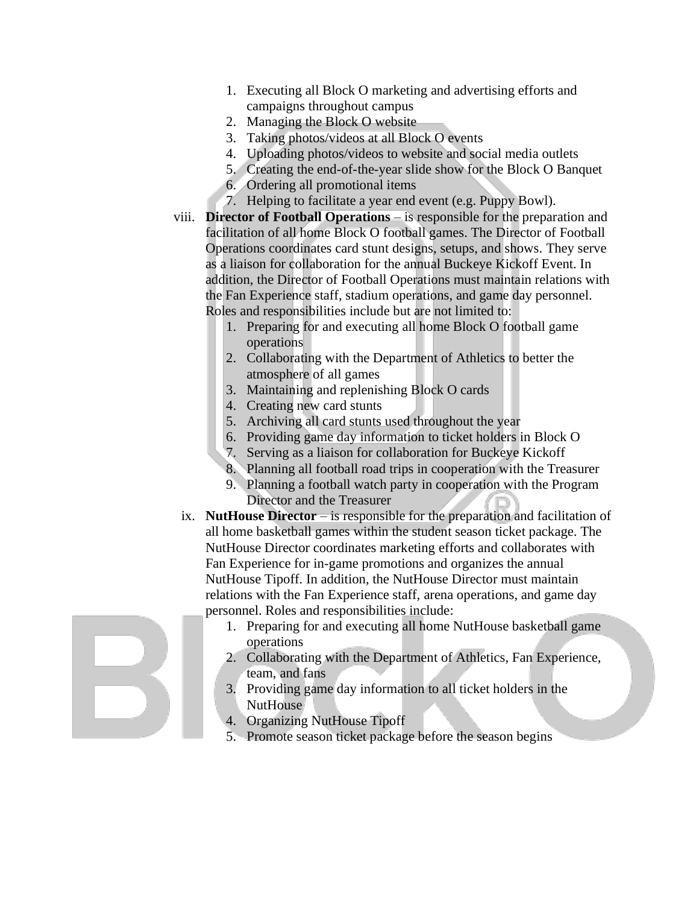- 1. Executing all Block O marketing and advertising efforts and campaigns throughout campus
- 2. Managing the Block O website
- 3. Taking photos/videos at all Block O events
- 4. Uploading photos/videos to website and social media outlets
- 5. Creating the end-of-the-year slide show for the Block O Banquet
- 6. Ordering all promotional items
- 7. Helping to facilitate a year end event (e.g. Puppy Bowl).
- viii. **Director of Football Operations**  is responsible for the preparation and facilitation of all home Block O football games. The Director of Football Operations coordinates card stunt designs, setups, and shows. They serve as a liaison for collaboration for the annual Buckeye Kickoff Event. In addition, the Director of Football Operations must maintain relations with the Fan Experience staff, stadium operations, and game day personnel. Roles and responsibilities include but are not limited to:
	- 1. Preparing for and executing all home Block O football game operations
	- 2. Collaborating with the Department of Athletics to better the atmosphere of all games
	- 3. Maintaining and replenishing Block O cards
	- 4. Creating new card stunts
	- 5. Archiving all card stunts used throughout the year
	- 6. Providing game day information to ticket holders in Block O
	- 7. Serving as a liaison for collaboration for Buckeye Kickoff
	- 8. Planning all football road trips in cooperation with the Treasurer
	- 9. Planning a football watch party in cooperation with the Program Director and the Treasurer
	- ix. **NutHouse Director** is responsible for the preparation and facilitation of all home basketball games within the student season ticket package. The NutHouse Director coordinates marketing efforts and collaborates with Fan Experience for in-game promotions and organizes the annual NutHouse Tipoff. In addition, the NutHouse Director must maintain relations with the Fan Experience staff, arena operations, and game day personnel. Roles and responsibilities include:
		- 1. Preparing for and executing all home NutHouse basketball game operations
		- 2. Collaborating with the Department of Athletics, Fan Experience, team, and fans
		- 3. Providing game day information to all ticket holders in the NutHouse
		- 4. Organizing NutHouse Tipoff
		- 5. Promote season ticket package before the season begins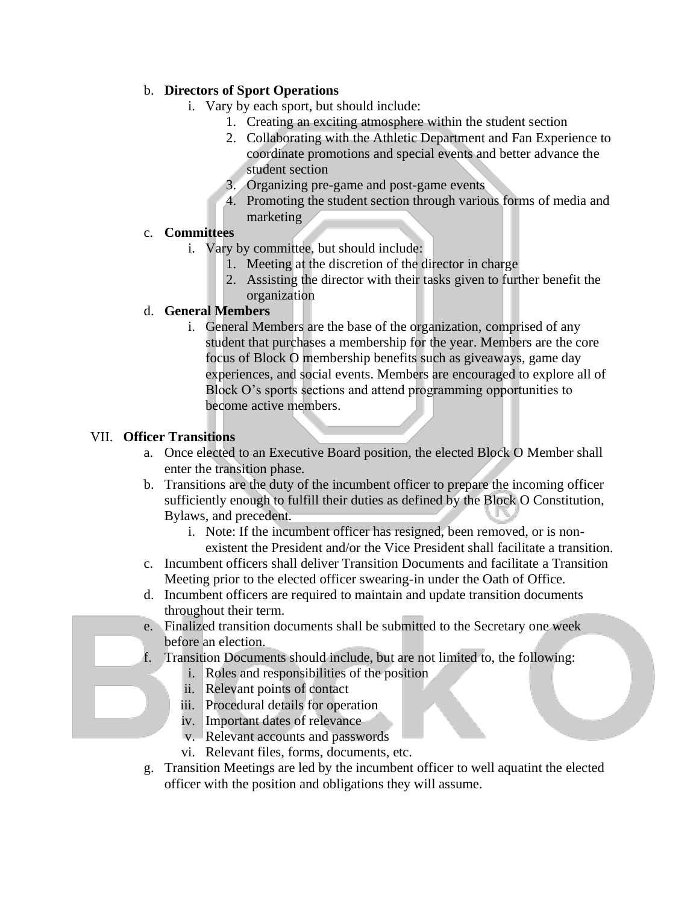#### b. **Directors of Sport Operations**

- i. Vary by each sport, but should include:
	- 1. Creating an exciting atmosphere within the student section
	- 2. Collaborating with the Athletic Department and Fan Experience to coordinate promotions and special events and better advance the student section
	- 3. Organizing pre-game and post-game events
	- 4. Promoting the student section through various forms of media and marketing

#### c. **Committees**

- i. Vary by committee, but should include:
	- 1. Meeting at the discretion of the director in charge
	- 2. Assisting the director with their tasks given to further benefit the organization

#### d. **General Members**

i. General Members are the base of the organization, comprised of any student that purchases a membership for the year. Members are the core focus of Block O membership benefits such as giveaways, game day experiences, and social events. Members are encouraged to explore all of Block O's sports sections and attend programming opportunities to become active members.

#### VII. **Officer Transitions**

- a. Once elected to an Executive Board position, the elected Block O Member shall enter the transition phase.
- b. Transitions are the duty of the incumbent officer to prepare the incoming officer sufficiently enough to fulfill their duties as defined by the Block O Constitution, Bylaws, and precedent.
	- i. Note: If the incumbent officer has resigned, been removed, or is nonexistent the President and/or the Vice President shall facilitate a transition.
- c. Incumbent officers shall deliver Transition Documents and facilitate a Transition Meeting prior to the elected officer swearing-in under the Oath of Office.
- d. Incumbent officers are required to maintain and update transition documents throughout their term.
- e. Finalized transition documents shall be submitted to the Secretary one week before an election.
- f. Transition Documents should include, but are not limited to, the following:
	- i. Roles and responsibilities of the position
		- ii. Relevant points of contact
		- iii. Procedural details for operation
		- iv. Important dates of relevance
		- v. Relevant accounts and passwords
		- vi. Relevant files, forms, documents, etc.
- g. Transition Meetings are led by the incumbent officer to well aquatint the elected officer with the position and obligations they will assume.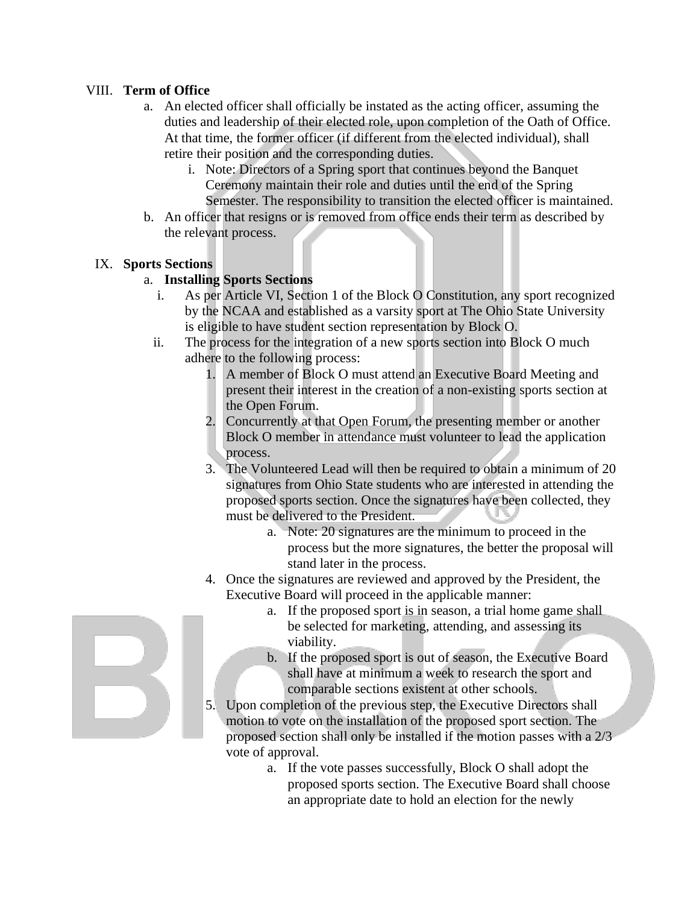#### VIII. **Term of Office**

- a. An elected officer shall officially be instated as the acting officer, assuming the duties and leadership of their elected role, upon completion of the Oath of Office. At that time, the former officer (if different from the elected individual), shall retire their position and the corresponding duties.
	- i. Note: Directors of a Spring sport that continues beyond the Banquet Ceremony maintain their role and duties until the end of the Spring Semester. The responsibility to transition the elected officer is maintained.
- b. An officer that resigns or is removed from office ends their term as described by the relevant process.

#### IX. **Sports Sections**

#### a. **Installing Sports Sections**

- i. As per Article VI, Section 1 of the Block O Constitution, any sport recognized by the NCAA and established as a varsity sport at The Ohio State University is eligible to have student section representation by Block O.
- ii. The process for the integration of a new sports section into Block O much adhere to the following process:
	- 1. A member of Block O must attend an Executive Board Meeting and present their interest in the creation of a non-existing sports section at the Open Forum.
	- 2. Concurrently at that Open Forum, the presenting member or another Block O member in attendance must volunteer to lead the application process.
	- 3. The Volunteered Lead will then be required to obtain a minimum of 20 signatures from Ohio State students who are interested in attending the proposed sports section. Once the signatures have been collected, they must be delivered to the President.
		- a. Note: 20 signatures are the minimum to proceed in the process but the more signatures, the better the proposal will stand later in the process.
	- 4. Once the signatures are reviewed and approved by the President, the Executive Board will proceed in the applicable manner:
		- a. If the proposed sport is in season, a trial home game shall be selected for marketing, attending, and assessing its viability.
		- b. If the proposed sport is out of season, the Executive Board shall have at minimum a week to research the sport and comparable sections existent at other schools.
	- 5. Upon completion of the previous step, the Executive Directors shall motion to vote on the installation of the proposed sport section. The proposed section shall only be installed if the motion passes with a 2/3 vote of approval.
		- a. If the vote passes successfully, Block O shall adopt the proposed sports section. The Executive Board shall choose an appropriate date to hold an election for the newly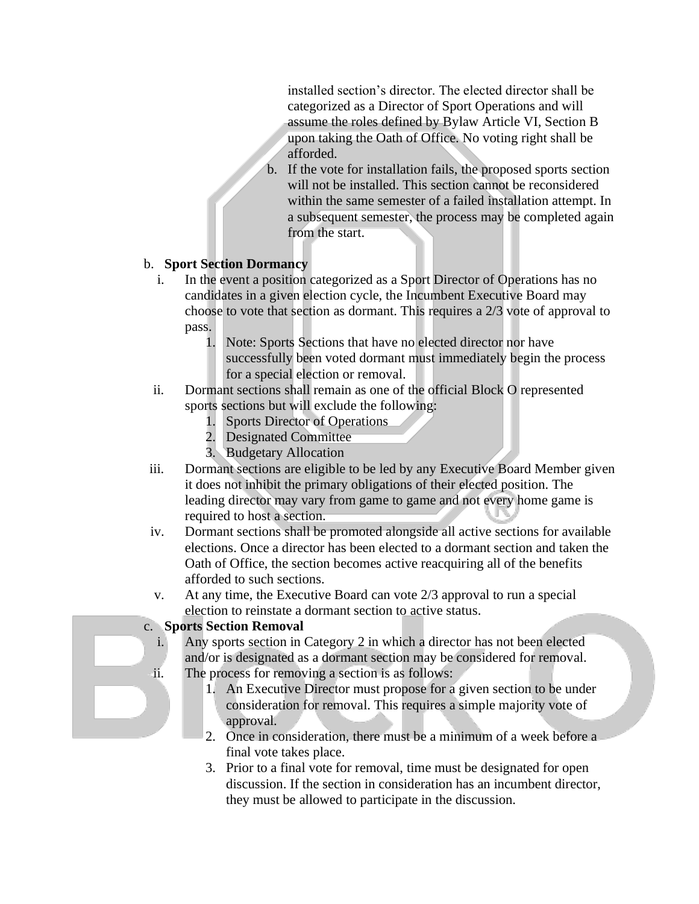installed section's director. The elected director shall be categorized as a Director of Sport Operations and will assume the roles defined by Bylaw Article VI, Section B upon taking the Oath of Office. No voting right shall be afforded.

b. If the vote for installation fails, the proposed sports section will not be installed. This section cannot be reconsidered within the same semester of a failed installation attempt. In a subsequent semester, the process may be completed again from the start.

#### b. **Sport Section Dormancy**

- i. In the event a position categorized as a Sport Director of Operations has no candidates in a given election cycle, the Incumbent Executive Board may choose to vote that section as dormant. This requires a 2/3 vote of approval to pass.
	- 1. Note: Sports Sections that have no elected director nor have successfully been voted dormant must immediately begin the process for a special election or removal.
- ii. Dormant sections shall remain as one of the official Block O represented sports sections but will exclude the following:
	- 1. Sports Director of Operations
	- 2. Designated Committee
	- 3. Budgetary Allocation
- iii. Dormant sections are eligible to be led by any Executive Board Member given it does not inhibit the primary obligations of their elected position. The leading director may vary from game to game and not every home game is required to host a section.
- iv. Dormant sections shall be promoted alongside all active sections for available elections. Once a director has been elected to a dormant section and taken the Oath of Office, the section becomes active reacquiring all of the benefits afforded to such sections.
- v. At any time, the Executive Board can vote 2/3 approval to run a special election to reinstate a dormant section to active status.

#### c. **Sports Section Removal**

- i. Any sports section in Category 2 in which a director has not been elected and/or is designated as a dormant section may be considered for removal. ii. The process for removing a section is as follows:
	- 1. An Executive Director must propose for a given section to be under
		- consideration for removal. This requires a simple majority vote of approval.
		- 2. Once in consideration, there must be a minimum of a week before a final vote takes place.
		- 3. Prior to a final vote for removal, time must be designated for open discussion. If the section in consideration has an incumbent director, they must be allowed to participate in the discussion.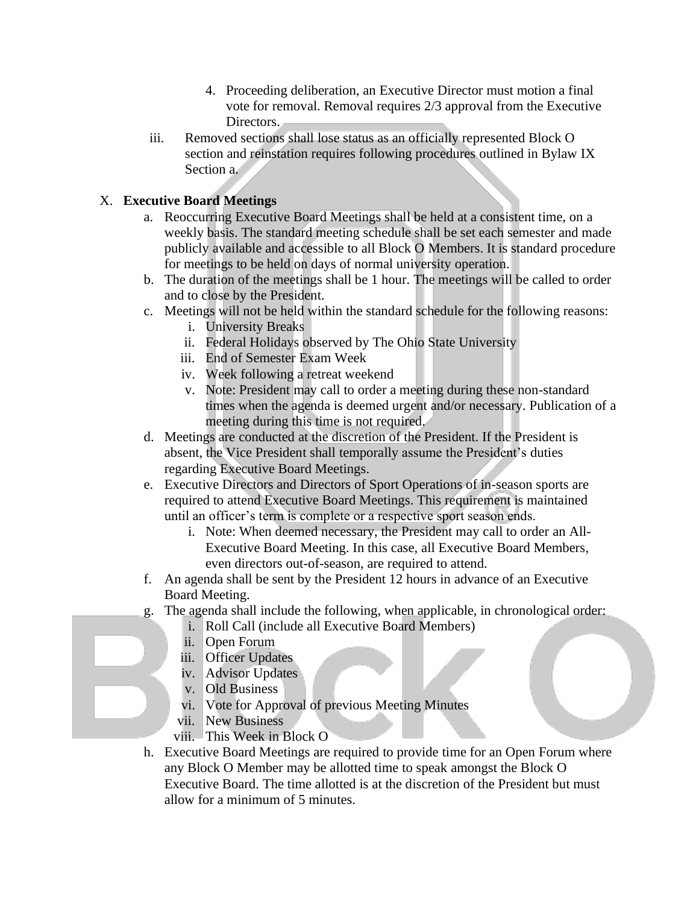- 4. Proceeding deliberation, an Executive Director must motion a final vote for removal. Removal requires 2/3 approval from the Executive Directors.
- iii. Removed sections shall lose status as an officially represented Block O section and reinstation requires following procedures outlined in Bylaw IX Section a.

# X. **Executive Board Meetings**

- a. Reoccurring Executive Board Meetings shall be held at a consistent time, on a weekly basis. The standard meeting schedule shall be set each semester and made publicly available and accessible to all Block O Members. It is standard procedure for meetings to be held on days of normal university operation.
- b. The duration of the meetings shall be 1 hour. The meetings will be called to order and to close by the President.
- c. Meetings will not be held within the standard schedule for the following reasons:
	- i. University Breaks
	- ii. Federal Holidays observed by The Ohio State University
	- iii. End of Semester Exam Week
	- iv. Week following a retreat weekend
	- v. Note: President may call to order a meeting during these non-standard times when the agenda is deemed urgent and/or necessary. Publication of a meeting during this time is not required.
- d. Meetings are conducted at the discretion of the President. If the President is absent, the Vice President shall temporally assume the President's duties regarding Executive Board Meetings.
- e. Executive Directors and Directors of Sport Operations of in-season sports are required to attend Executive Board Meetings. This requirement is maintained until an officer's term is complete or a respective sport season ends.
	- i. Note: When deemed necessary, the President may call to order an All-Executive Board Meeting. In this case, all Executive Board Members, even directors out-of-season, are required to attend.
- f. An agenda shall be sent by the President 12 hours in advance of an Executive Board Meeting.
- g. The agenda shall include the following, when applicable, in chronological order:
	- i. Roll Call (include all Executive Board Members)
	- ii. Open Forum
	- iii. Officer Updates
	- iv. Advisor Updates
	- v. Old Business
	- vi. Vote for Approval of previous Meeting Minutes
	- vii. New Business
	- viii. This Week in Block O
- h. Executive Board Meetings are required to provide time for an Open Forum where any Block O Member may be allotted time to speak amongst the Block O Executive Board. The time allotted is at the discretion of the President but must allow for a minimum of 5 minutes.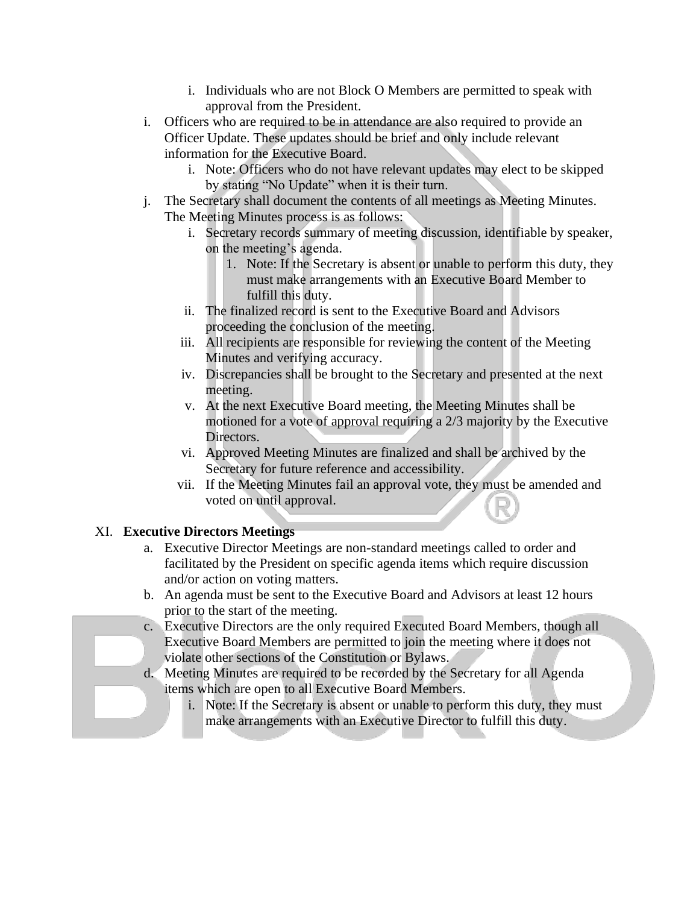- i. Individuals who are not Block O Members are permitted to speak with approval from the President.
- i. Officers who are required to be in attendance are also required to provide an Officer Update. These updates should be brief and only include relevant information for the Executive Board.
	- i. Note: Officers who do not have relevant updates may elect to be skipped by stating "No Update" when it is their turn.
- j. The Secretary shall document the contents of all meetings as Meeting Minutes. The Meeting Minutes process is as follows:
	- i. Secretary records summary of meeting discussion, identifiable by speaker, on the meeting's agenda.
		- 1. Note: If the Secretary is absent or unable to perform this duty, they must make arrangements with an Executive Board Member to fulfill this duty.
	- ii. The finalized record is sent to the Executive Board and Advisors proceeding the conclusion of the meeting.
	- iii. All recipients are responsible for reviewing the content of the Meeting Minutes and verifying accuracy.
	- iv. Discrepancies shall be brought to the Secretary and presented at the next meeting.
	- v. At the next Executive Board meeting, the Meeting Minutes shall be motioned for a vote of approval requiring a 2/3 majority by the Executive Directors.
	- vi. Approved Meeting Minutes are finalized and shall be archived by the Secretary for future reference and accessibility.
	- vii. If the Meeting Minutes fail an approval vote, they must be amended and voted on until approval.

# XI. **Executive Directors Meetings**

- a. Executive Director Meetings are non-standard meetings called to order and facilitated by the President on specific agenda items which require discussion and/or action on voting matters.
- b. An agenda must be sent to the Executive Board and Advisors at least 12 hours prior to the start of the meeting.
- c. Executive Directors are the only required Executed Board Members, though all Executive Board Members are permitted to join the meeting where it does not violate other sections of the Constitution or Bylaws.
- d. Meeting Minutes are required to be recorded by the Secretary for all Agenda items which are open to all Executive Board Members.
	- i. Note: If the Secretary is absent or unable to perform this duty, they must make arrangements with an Executive Director to fulfill this duty.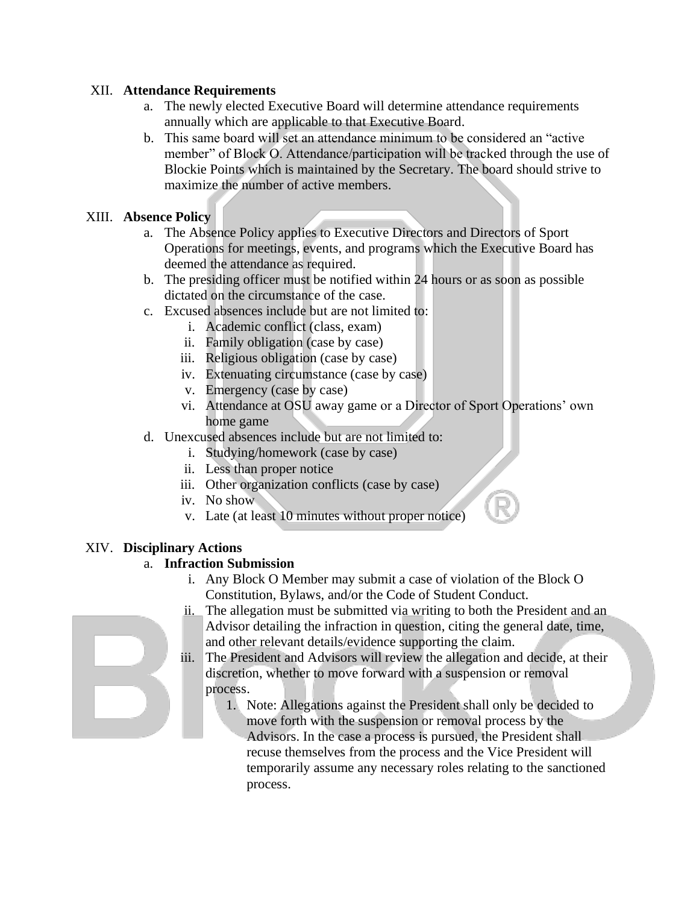#### XII. **Attendance Requirements**

- a. The newly elected Executive Board will determine attendance requirements annually which are applicable to that Executive Board.
- b. This same board will set an attendance minimum to be considered an "active member" of Block O. Attendance/participation will be tracked through the use of Blockie Points which is maintained by the Secretary. The board should strive to maximize the number of active members.

#### XIII. **Absence Policy**

- a. The Absence Policy applies to Executive Directors and Directors of Sport Operations for meetings, events, and programs which the Executive Board has deemed the attendance as required.
- b. The presiding officer must be notified within 24 hours or as soon as possible dictated on the circumstance of the case.
- c. Excused absences include but are not limited to:
	- i. Academic conflict (class, exam)
	- ii. Family obligation (case by case)
	- iii. Religious obligation (case by case)
	- iv. Extenuating circumstance (case by case)
	- v. Emergency (case by case)
	- vi. Attendance at OSU away game or a Director of Sport Operations' own home game
- d. Unexcused absences include but are not limited to:
	- i. Studying/homework (case by case)
	- ii. Less than proper notice
	- iii. Other organization conflicts (case by case)
	- iv. No show
	- v. Late (at least 10 minutes without proper notice)

# XIV. **Disciplinary Actions**

# a. **Infraction Submission**

- i. Any Block O Member may submit a case of violation of the Block O Constitution, Bylaws, and/or the Code of Student Conduct.
- ii. The allegation must be submitted via writing to both the President and an Advisor detailing the infraction in question, citing the general date, time, and other relevant details/evidence supporting the claim.
- iii. The President and Advisors will review the allegation and decide, at their discretion, whether to move forward with a suspension or removal process.
	- 1. Note: Allegations against the President shall only be decided to move forth with the suspension or removal process by the Advisors. In the case a process is pursued, the President shall recuse themselves from the process and the Vice President will temporarily assume any necessary roles relating to the sanctioned process.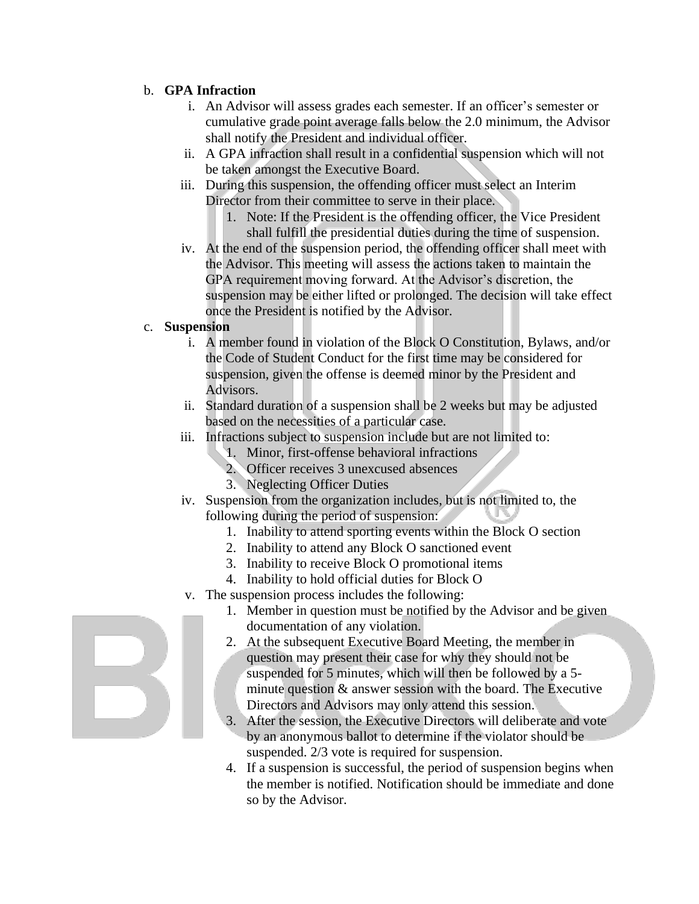#### b. **GPA Infraction**

- i. An Advisor will assess grades each semester. If an officer's semester or cumulative grade point average falls below the 2.0 minimum, the Advisor shall notify the President and individual officer.
- ii. A GPA infraction shall result in a confidential suspension which will not be taken amongst the Executive Board.
- iii. During this suspension, the offending officer must select an Interim Director from their committee to serve in their place.
	- 1. Note: If the President is the offending officer, the Vice President shall fulfill the presidential duties during the time of suspension.
- iv. At the end of the suspension period, the offending officer shall meet with the Advisor. This meeting will assess the actions taken to maintain the GPA requirement moving forward. At the Advisor's discretion, the suspension may be either lifted or prolonged. The decision will take effect once the President is notified by the Advisor.

#### c. **Suspension**

- i. A member found in violation of the Block O Constitution, Bylaws, and/or the Code of Student Conduct for the first time may be considered for suspension, given the offense is deemed minor by the President and Advisors.
- ii. Standard duration of a suspension shall be 2 weeks but may be adjusted based on the necessities of a particular case.
- iii. Infractions subject to suspension include but are not limited to:
	- 1. Minor, first-offense behavioral infractions
	- 2. Officer receives 3 unexcused absences
	- 3. Neglecting Officer Duties
- iv. Suspension from the organization includes, but is not limited to, the following during the period of suspension:
	- 1. Inability to attend sporting events within the Block O section
	- 2. Inability to attend any Block O sanctioned event
	- 3. Inability to receive Block O promotional items
	- 4. Inability to hold official duties for Block O
- v. The suspension process includes the following:
	- 1. Member in question must be notified by the Advisor and be given documentation of any violation.
	- 2. At the subsequent Executive Board Meeting, the member in question may present their case for why they should not be suspended for 5 minutes, which will then be followed by a 5 minute question & answer session with the board. The Executive Directors and Advisors may only attend this session.
	- 3. After the session, the Executive Directors will deliberate and vote by an anonymous ballot to determine if the violator should be suspended. 2/3 vote is required for suspension.
	- 4. If a suspension is successful, the period of suspension begins when the member is notified. Notification should be immediate and done so by the Advisor.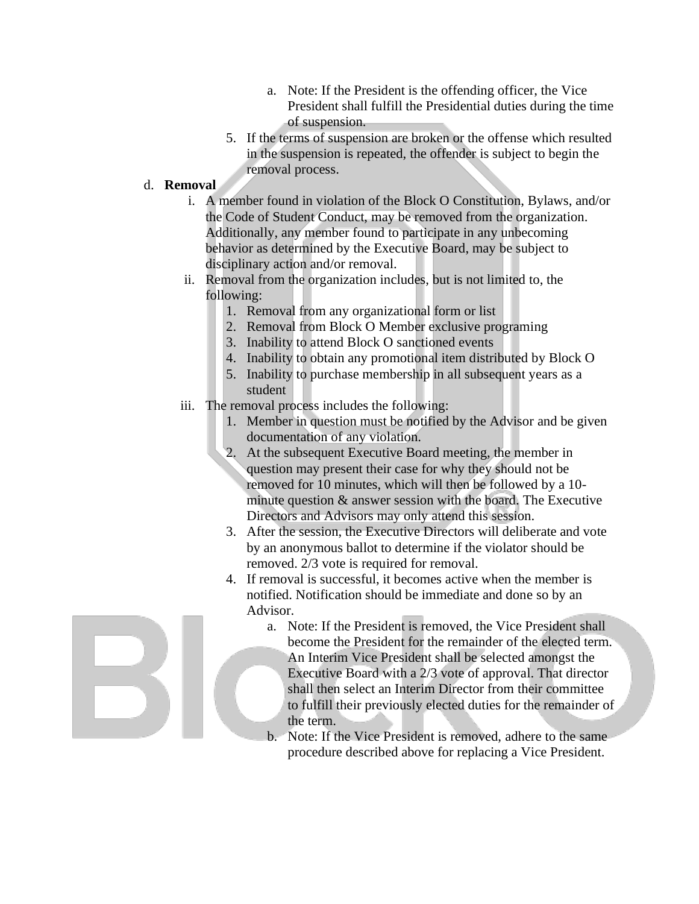- a. Note: If the President is the offending officer, the Vice President shall fulfill the Presidential duties during the time of suspension.
- 5. If the terms of suspension are broken or the offense which resulted in the suspension is repeated, the offender is subject to begin the removal process.
- d. **Removal**
	- i. A member found in violation of the Block O Constitution, Bylaws, and/or the Code of Student Conduct, may be removed from the organization. Additionally, any member found to participate in any unbecoming behavior as determined by the Executive Board, may be subject to disciplinary action and/or removal.
	- ii. Removal from the organization includes, but is not limited to, the following:
		- 1. Removal from any organizational form or list
		- 2. Removal from Block O Member exclusive programing
		- 3. Inability to attend Block O sanctioned events
		- 4. Inability to obtain any promotional item distributed by Block O
		- 5. Inability to purchase membership in all subsequent years as a student
	- iii. The removal process includes the following:
		- 1. Member in question must be notified by the Advisor and be given documentation of any violation.
		- 2. At the subsequent Executive Board meeting, the member in question may present their case for why they should not be removed for 10 minutes, which will then be followed by a 10 minute question & answer session with the board. The Executive Directors and Advisors may only attend this session.
		- 3. After the session, the Executive Directors will deliberate and vote by an anonymous ballot to determine if the violator should be removed. 2/3 vote is required for removal.
		- 4. If removal is successful, it becomes active when the member is notified. Notification should be immediate and done so by an Advisor.
			- a. Note: If the President is removed, the Vice President shall become the President for the remainder of the elected term. An Interim Vice President shall be selected amongst the Executive Board with a 2/3 vote of approval. That director shall then select an Interim Director from their committee to fulfill their previously elected duties for the remainder of the term.
			- b. Note: If the Vice President is removed, adhere to the same procedure described above for replacing a Vice President.